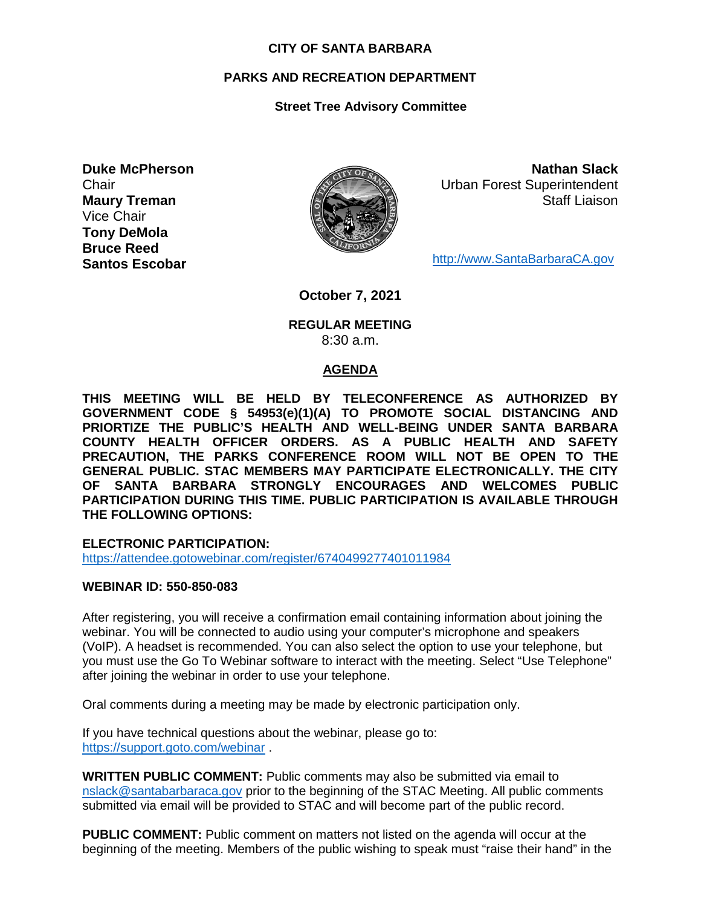#### **CITY OF SANTA BARBARA**

# **PARKS AND RECREATION DEPARTMENT**

# **Street Tree Advisory Committee**

**Duke McPherson Chair Maury Treman** Vice Chair **Tony DeMola Bruce Reed Santos Escobar**



**Nathan Slack** Urban Forest Superintendent Staff Liaison

[http://www.SantaBarbaraCA.gov](http://www.santabarbaraca.gov/)

**October 7, 2021**

#### **REGULAR MEETING** 8:30 a.m.

#### **AGENDA**

**THIS MEETING WILL BE HELD BY TELECONFERENCE AS AUTHORIZED BY GOVERNMENT CODE § 54953(e)(1)(A) TO PROMOTE SOCIAL DISTANCING AND PRIORTIZE THE PUBLIC'S HEALTH AND WELL-BEING UNDER SANTA BARBARA COUNTY HEALTH OFFICER ORDERS. AS A PUBLIC HEALTH AND SAFETY PRECAUTION, THE PARKS CONFERENCE ROOM WILL NOT BE OPEN TO THE GENERAL PUBLIC. STAC MEMBERS MAY PARTICIPATE ELECTRONICALLY. THE CITY OF SANTA BARBARA STRONGLY ENCOURAGES AND WELCOMES PUBLIC PARTICIPATION DURING THIS TIME. PUBLIC PARTICIPATION IS AVAILABLE THROUGH THE FOLLOWING OPTIONS:**

**ELECTRONIC PARTICIPATION:** 

<https://attendee.gotowebinar.com/register/6740499277401011984>

#### **WEBINAR ID: 550-850-083**

After registering, you will receive a confirmation email containing information about joining the webinar. You will be connected to audio using your computer's microphone and speakers (VoIP). A headset is recommended. You can also select the option to use your telephone, but you must use the Go To Webinar software to interact with the meeting. Select "Use Telephone" after joining the webinar in order to use your telephone.

Oral comments during a meeting may be made by electronic participation only.

If you have technical questions about the webinar, please go to: <https://support.goto.com/webinar> .

**WRITTEN PUBLIC COMMENT:** Public comments may also be submitted via email to [nslack@santabarbaraca.gov](mailto:nslack@santabarbaraca.gov) prior to the beginning of the STAC Meeting. All public comments submitted via email will be provided to STAC and will become part of the public record.

**PUBLIC COMMENT:** Public comment on matters not listed on the agenda will occur at the beginning of the meeting. Members of the public wishing to speak must "raise their hand" in the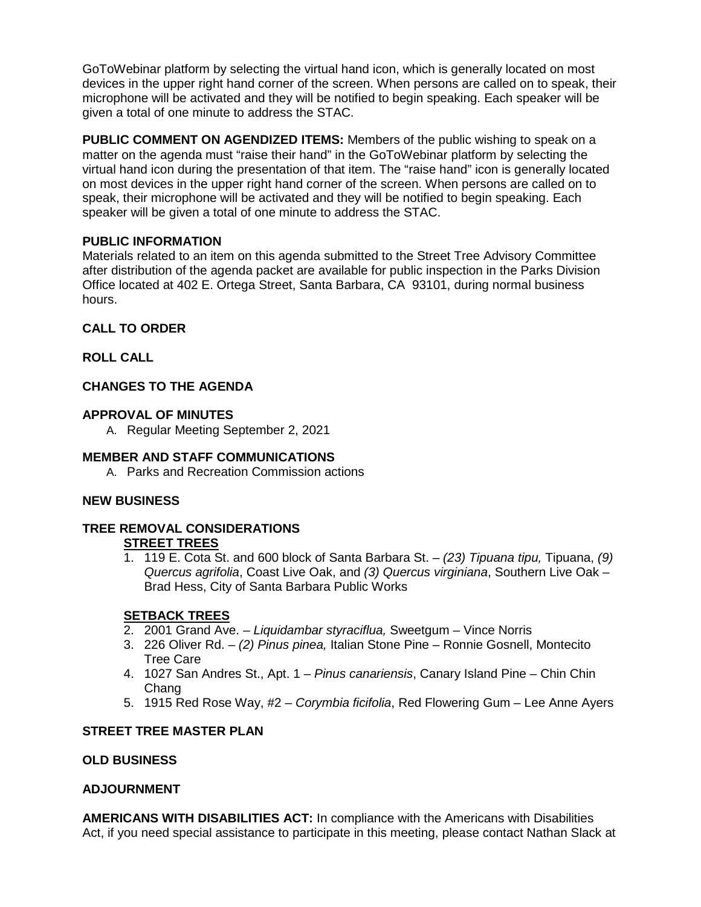GoToWebinar platform by selecting the virtual hand icon, which is generally located on most devices in the upper right hand corner of the screen. When persons are called on to speak, their microphone will be activated and they will be notified to begin speaking. Each speaker will be given a total of one minute to address the STAC.

**PUBLIC COMMENT ON AGENDIZED ITEMS:** Members of the public wishing to speak on a matter on the agenda must "raise their hand" in the GoToWebinar platform by selecting the virtual hand icon during the presentation of that item. The "raise hand" icon is generally located on most devices in the upper right hand corner of the screen. When persons are called on to speak, their microphone will be activated and they will be notified to begin speaking. Each speaker will be given a total of one minute to address the STAC.

# **PUBLIC INFORMATION**

Materials related to an item on this agenda submitted to the Street Tree Advisory Committee after distribution of the agenda packet are available for public inspection in the Parks Division Office located at 402 E. Ortega Street, Santa Barbara, CA 93101, during normal business hours.

# **CALL TO ORDER**

# **ROLL CALL**

# **CHANGES TO THE AGENDA**

#### **APPROVAL OF MINUTES**

A. Regular Meeting September 2, 2021

#### **MEMBER AND STAFF COMMUNICATIONS**

A. Parks and Recreation Commission actions

#### **NEW BUSINESS**

# **TREE REMOVAL CONSIDERATIONS**

# **STREET TREES**

1. 119 E. Cota St. and 600 block of Santa Barbara St. – *(23) Tipuana tipu,* Tipuana, *(9) Quercus agrifolia*, Coast Live Oak, and *(3) Quercus virginiana*, Southern Live Oak – Brad Hess, City of Santa Barbara Public Works

#### **SETBACK TREES**

- 2. 2001 Grand Ave. *Liquidambar styraciflua,* Sweetgum Vince Norris
- 3. 226 Oliver Rd. *(2) Pinus pinea,* Italian Stone Pine Ronnie Gosnell, Montecito Tree Care
- 4. 1027 San Andres St., Apt. 1 *Pinus canariensis*, Canary Island Pine Chin Chin Chang
- 5. 1915 Red Rose Way, #2 *Corymbia ficifolia*, Red Flowering Gum Lee Anne Ayers

#### **STREET TREE MASTER PLAN**

#### **OLD BUSINESS**

#### **ADJOURNMENT**

**AMERICANS WITH DISABILITIES ACT:** In compliance with the Americans with Disabilities Act, if you need special assistance to participate in this meeting, please contact Nathan Slack at